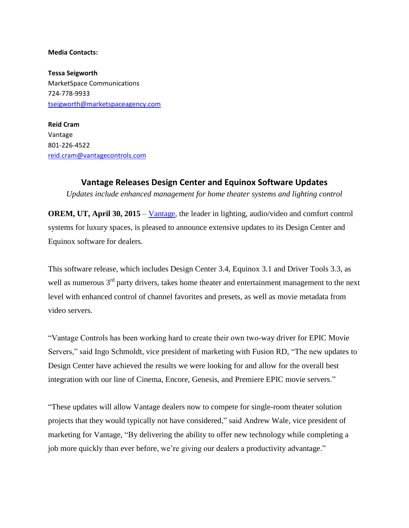## **Media Contacts:**

**Tessa Seigworth** MarketSpace Communications 724-778-9933 [tseigworth@marketspaceagency.com](mailto:roushlight@gmail.com)

**Reid Cram** Vantage 801-226-4522 [reid.cram@vantagecontrols.com](mailto:reid.cram@vantagecontrols.com)

## **Vantage Releases Design Center and Equinox Software Updates**

*Updates include enhanced management for home theater systems and lighting control*

**OREM, UT, April 30, 2015 – [Vantage,](http://www.vantagecontrols.com/) the leader in lighting, audio/video and comfort control** systems for luxury spaces, is pleased to announce extensive updates to its Design Center and Equinox software for dealers.

This software release, which includes Design Center 3.4, Equinox 3.1 and Driver Tools 3.3, as well as numerous 3<sup>rd</sup> party drivers, takes home theater and entertainment management to the next level with enhanced control of channel favorites and presets, as well as movie metadata from video servers.

"Vantage Controls has been working hard to create their own two-way driver for EPIC Movie Servers," said Ingo Schmoldt, vice president of marketing with Fusion RD, "The new updates to Design Center have achieved the results we were looking for and allow for the overall best integration with our line of Cinema, Encore, Genesis, and Premiere EPIC movie servers."

"These updates will allow Vantage dealers now to compete for single-room theater solution projects that they would typically not have considered," said Andrew Wale, vice president of marketing for Vantage, "By delivering the ability to offer new technology while completing a job more quickly than ever before, we're giving our dealers a productivity advantage."